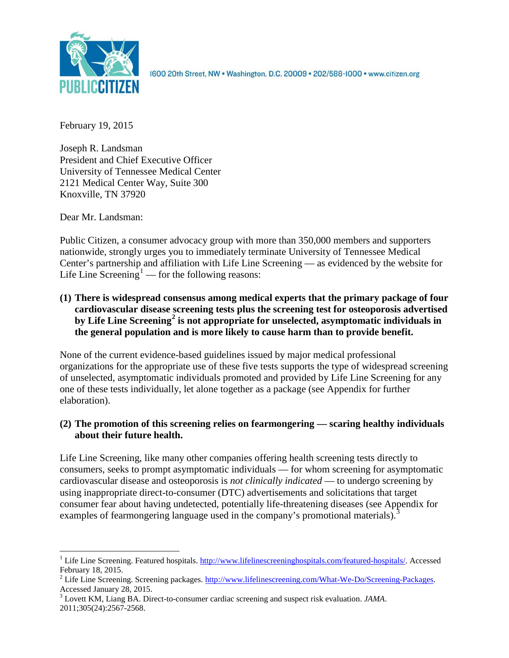

1600 20th Street, NW . Washington, D.C. 20009 . 202/588-1000 . www.citizen.org

February 19, 2015

Joseph R. Landsman President and Chief Executive Officer University of Tennessee Medical Center 2121 Medical Center Way, Suite 300 Knoxville, TN 37920

Dear Mr. Landsman:

Public Citizen, a consumer advocacy group with more than 350,000 members and supporters nationwide, strongly urges you to immediately terminate University of Tennessee Medical Center's partnership and affiliation with Life Line Screening — as evidenced by the website for Life Line Screening<sup>[1](#page-0-0)</sup> — for the following reasons:

**(1) There is widespread consensus among medical experts that the primary package of four cardiovascular disease screening tests plus the screening test for osteoporosis advertised by Life Line Screening[2](#page-0-1) is not appropriate for unselected, asymptomatic individuals in the general population and is more likely to cause harm than to provide benefit.**

None of the current evidence-based guidelines issued by major medical professional organizations for the appropriate use of these five tests supports the type of widespread screening of unselected, asymptomatic individuals promoted and provided by Life Line Screening for any one of these tests individually, let alone together as a package (see Appendix for further elaboration).

# **(2) The promotion of this screening relies on fearmongering — scaring healthy individuals about their future health.**

Life Line Screening, like many other companies offering health screening tests directly to consumers, seeks to prompt asymptomatic individuals — for whom screening for asymptomatic cardiovascular disease and osteoporosis is *not clinically indicated* — to undergo screening by using inappropriate direct-to-consumer (DTC) advertisements and solicitations that target consumer fear about having undetected, potentially life-threatening diseases (see Appendix for examples of fearmongering language used in the company's promotional materials).<sup>[3](#page-0-2)</sup>

<span id="page-0-0"></span><sup>&</sup>lt;sup>1</sup> Life Line Screening. Featured hospitals. [http://www.lifelinescreeninghospitals.com/featured-hospitals/.](http://www.lifelinescreeninghospitals.com/featured-hospitals/) Accessed

<span id="page-0-1"></span>February 18, 2015.<br><sup>2</sup> Life Line Screening. Screening packages. [http://www.lifelinescreening.com/What-We-Do/Screening-Packages.](http://www.lifelinescreening.com/What-We-Do/Screening-Packages)<br>Accessed January 28, 2015.

<span id="page-0-2"></span><sup>&</sup>lt;sup>3</sup> Lovett KM, Liang BA. Direct-to-consumer cardiac screening and suspect risk evaluation. *JAMA*. 2011;305(24):2567-2568.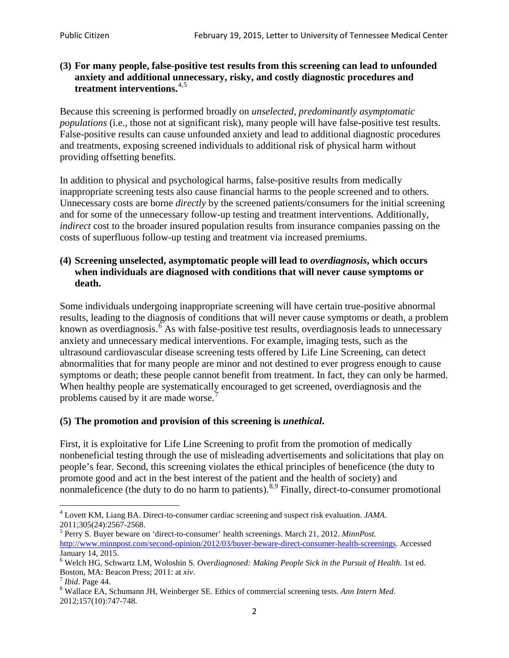### **(3) For many people, false-positive test results from this screening can lead to unfounded anxiety and additional unnecessary, risky, and costly diagnostic procedures and treatment interventions.**[4](#page-1-0),[5](#page-1-1)

Because this screening is performed broadly on *unselected, predominantly asymptomatic populations* (i.e., those not at significant risk), many people will have false**-**positive test results. False-positive results can cause unfounded anxiety and lead to additional diagnostic procedures and treatments, exposing screened individuals to additional risk of physical harm without providing offsetting benefits.

In addition to physical and psychological harms, false-positive results from medically inappropriate screening tests also cause financial harms to the people screened and to others. Unnecessary costs are borne *directly* by the screened patients/consumers for the initial screening and for some of the unnecessary follow-up testing and treatment interventions. Additionally, *indirect* cost to the broader insured population results from insurance companies passing on the costs of superfluous follow-up testing and treatment via increased premiums.

#### **(4) Screening unselected, asymptomatic people will lead to** *overdiagnosis***, which occurs when individuals are diagnosed with conditions that will never cause symptoms or death.**

Some individuals undergoing inappropriate screening will have certain true-positive abnormal results, leading to the diagnosis of conditions that will never cause symptoms or death, a problem known as overdiagnosis.<sup>[6](#page-1-2)</sup> As with false-positive test results, overdiagnosis leads to unnecessary anxiety and unnecessary medical interventions. For example, imaging tests, such as the ultrasound cardiovascular disease screening tests offered by Life Line Screening, can detect abnormalities that for many people are minor and not destined to ever progress enough to cause symptoms or death; these people cannot benefit from treatment. In fact, they can only be harmed. When healthy people are systematically encouraged to get screened, overdiagnosis and the problems caused by it are made worse.<sup>[7](#page-1-3)</sup>

## **(5) The promotion and provision of this screening is** *unethical***.**

First, it is exploitative for Life Line Screening to profit from the promotion of medically nonbeneficial testing through the use of misleading advertisements and solicitations that play on people's fear. Second, this screening violates the ethical principles of beneficence (the duty to promote good and act in the best interest of the patient and the health of society) and nonmaleficence (the duty to do no harm to patients).<sup>[8](#page-1-4),[9](#page-1-5)</sup> Finally, direct-to-consumer promotional

<span id="page-1-4"></span>2012;157(10):747-748.

<span id="page-1-5"></span><span id="page-1-0"></span><sup>4</sup> Lovett KM, Liang BA. Direct-to-consumer cardiac screening and suspect risk evaluation. *JAMA*.

<span id="page-1-1"></span><sup>2011;305(24):2567-2568.</sup> <sup>5</sup> Perry S. Buyer beware on 'direct-to-consumer' health screenings. March 21, 2012. *MinnPost.*  [http://www.minnpost.com/second-opinion/2012/03/buyer-beware-direct-consumer-health-screenings.](http://www.minnpost.com/second-opinion/2012/03/buyer-beware-direct-consumer-health-screenings) Accessed January 14, 2015.

<span id="page-1-2"></span><sup>6</sup> Welch HG, Schwartz LM, Woloshin S. *Overdiagnosed: Making People Sick in the Pursuit of Health*. 1st ed. Boston, MA: Beacon Press; 2011: at *xiv*.<br><sup>7</sup> *Ibid*. Page 44.<br><sup>8</sup> Wallace EA, Schumann JH, Weinberger SE. Ethics of commercial screening tests. *Ann Intern Med*.

<span id="page-1-3"></span>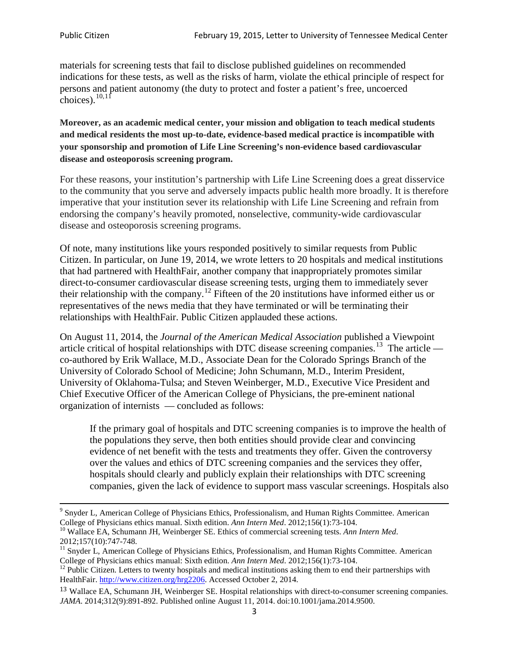materials for screening tests that fail to disclose published guidelines on recommended indications for these tests, as well as the risks of harm, violate the ethical principle of respect for persons and patient autonomy (the duty to protect and foster a patient's free, uncoerced choices). $\frac{10,11}{10,11}$  $\frac{10,11}{10,11}$  $\frac{10,11}{10,11}$  $\frac{10,11}{10,11}$ 

**Moreover, as an academic medical center, your mission and obligation to teach medical students and medical residents the most up-to-date, evidence-based medical practice is incompatible with your sponsorship and promotion of Life Line Screening's non-evidence based cardiovascular disease and osteoporosis screening program.**

For these reasons, your institution's partnership with Life Line Screening does a great disservice to the community that you serve and adversely impacts public health more broadly. It is therefore imperative that your institution sever its relationship with Life Line Screening and refrain from endorsing the company's heavily promoted, nonselective, community**-**wide cardiovascular disease and osteoporosis screening programs.

Of note, many institutions like yours responded positively to similar requests from Public Citizen. In particular, on June 19, 2014, we wrote letters to 20 hospitals and medical institutions that had partnered with HealthFair, another company that inappropriately promotes similar direct-to-consumer cardiovascular disease screening tests, urging them to immediately sever their relationship with the company. [12](#page-2-2) Fifteen of the 20 institutions have informed either us or representatives of the news media that they have terminated or will be terminating their relationships with HealthFair. Public Citizen applauded these actions.

On August 11, 2014, the *Journal of the American Medical Association* published a Viewpoint article critical of hospital relationships with DTC disease screening companies.<sup>13</sup> The article co-authored by Erik Wallace, M.D., Associate Dean for the Colorado Springs Branch of the University of Colorado School of Medicine; John Schumann, M.D., Interim President, University of Oklahoma-Tulsa; and Steven Weinberger, M.D., Executive Vice President and Chief Executive Officer of the American College of Physicians, the pre**-**eminent national organization of internists — concluded as follows:

If the primary goal of hospitals and DTC screening companies is to improve the health of the populations they serve, then both entities should provide clear and convincing evidence of net benefit with the tests and treatments they offer. Given the controversy over the values and ethics of DTC screening companies and the services they offer, hospitals should clearly and publicly explain their relationships with DTC screening companies, given the lack of evidence to support mass vascular screenings. Hospitals also

<sup>&</sup>lt;sup>9</sup> Snyder L, American College of Physicians Ethics, Professionalism, and Human Rights Committee. American College of Physicians ethics manual. Sixth edition. Ann Intern Med. 2012;156(1):73-104.

<span id="page-2-0"></span><sup>&</sup>lt;sup>10</sup> Wallace EA, Schumann JH, Weinberger SE. Ethics of commercial screening tests. *Ann Intern Med*. 2012;157(10):747-748.

<span id="page-2-1"></span> $11$  Snyder L, American College of Physicians Ethics, Professionalism, and Human Rights Committee. American College of Physicians ethics manual: Sixth edition. *Ann Intern Med*. 2012;156(1):73-104.<br><sup>12</sup> Public Citizen. Letters to twenty hospitals and medical institutions asking them to end their partnerships with

<span id="page-2-2"></span>HealthFair. [http://www.citizen.org/hrg2206.](http://www.citizen.org/hrg2206) Accessed October 2, 2014.

<span id="page-2-3"></span><sup>13</sup> Wallace EA, Schumann JH, Weinberger SE. Hospital relationships with direct-to-consumer screening companies. *JAMA*. 2014;312(9):891-892. Published online August 11, 2014. doi:10.1001/jama.2014.9500.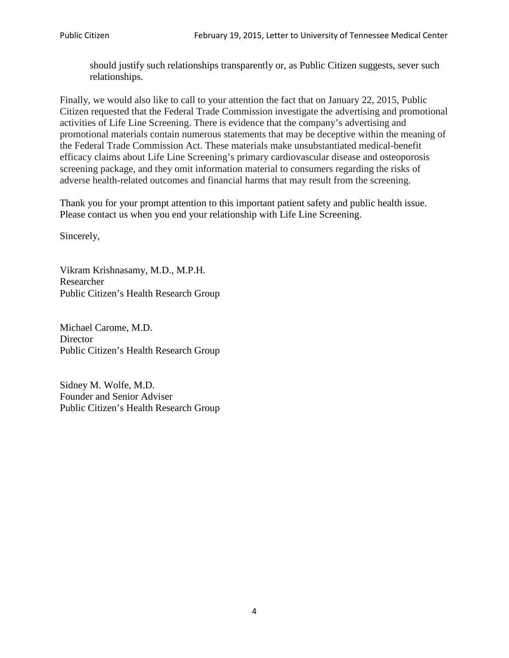should justify such relationships transparently or, as Public Citizen suggests, sever such relationships.

Finally, we would also like to call to your attention the fact that on January 22, 2015, Public Citizen requested that the Federal Trade Commission investigate the advertising and promotional activities of Life Line Screening. There is evidence that the company's advertising and promotional materials contain numerous statements that may be deceptive within the meaning of the Federal Trade Commission Act. These materials make unsubstantiated medical-benefit efficacy claims about Life Line Screening's primary cardiovascular disease and osteoporosis screening package, and they omit information material to consumers regarding the risks of adverse health-related outcomes and financial harms that may result from the screening.

Thank you for your prompt attention to this important patient safety and public health issue. Please contact us when you end your relationship with Life Line Screening.

Sincerely,

Vikram Krishnasamy, M.D., M.P.H. Researcher Public Citizen's Health Research Group

Michael Carome, M.D. **Director** Public Citizen's Health Research Group

Sidney M. Wolfe, M.D. Founder and Senior Adviser Public Citizen's Health Research Group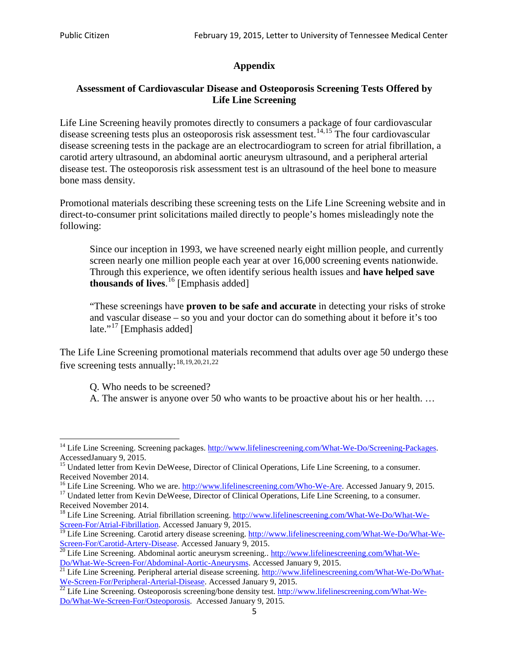## **Appendix**

## **Assessment of Cardiovascular Disease and Osteoporosis Screening Tests Offered by Life Line Screening**

Life Line Screening heavily promotes directly to consumers a package of four cardiovascular disease screening tests plus an osteoporosis risk assessment test.<sup>[14](#page-4-0),[15](#page-4-1)</sup> The four cardiovascular disease screening tests in the package are an electrocardiogram to screen for atrial fibrillation, a carotid artery ultrasound, an abdominal aortic aneurysm ultrasound, and a peripheral arterial disease test. The osteoporosis risk assessment test is an ultrasound of the heel bone to measure bone mass density.

Promotional materials describing these screening tests on the Life Line Screening website and in direct-to-consumer print solicitations mailed directly to people's homes misleadingly note the following:

Since our inception in 1993, we have screened nearly eight million people, and currently screen nearly one million people each year at over 16,000 screening events nationwide. Through this experience, we often identify serious health issues and **have helped save thousands of lives**. [16](#page-4-2) [Emphasis added]

"These screenings have **proven to be safe and accurate** in detecting your risks of stroke and vascular disease – so you and your doctor can do something about it before it's too late."<sup>[17](#page-4-3)</sup> [Emphasis added]

The Life Line Screening promotional materials recommend that adults over age 50 undergo these five screening tests annually:<sup>[18](#page-4-4),[19,](#page-4-5)[20,](#page-4-6)[21](#page-4-7),[22](#page-4-8)</sup>

Q. Who needs to be screened?

A. The answer is anyone over 50 who wants to be proactive about his or her health. …

<span id="page-4-0"></span><sup>&</sup>lt;sup>14</sup> Life Line Screening. Screening packages. [http://www.lifelinescreening.com/What-We-Do/Screening-Packages.](http://www.lifelinescreening.com/What-We-Do/Screening-Packages) AccessedJanuary 9, 2015.

<span id="page-4-1"></span><sup>&</sup>lt;sup>15</sup> Undated letter from Kevin DeWeese, Director of Clinical Operations, Life Line Screening, to a consumer.

Received November 2014.<br><sup>16</sup> Life Line Screening. Who we are. http://www.lifelinescreening.com/Who-We-Are. Accessed January 9, 2015.

<span id="page-4-3"></span><span id="page-4-2"></span><sup>&</sup>lt;sup>17</sup> Undated letter from Kevin DeWeese, Director of Clinical Operations, Life Line Screening, to a consumer. Received November 2014.

<span id="page-4-4"></span><sup>&</sup>lt;sup>18</sup> Life Line Screening. Atrial fibrillation screening. [http://www.lifelinescreening.com/What-We-Do/What-We-](http://www.lifelinescreening.com/What-We-Do/What-We-Screen-For/Atrial-Fibrillation)[Screen-For/Atrial-Fibrillation.](http://www.lifelinescreening.com/What-We-Do/What-We-Screen-For/Atrial-Fibrillation) Accessed January 9, 2015.

<span id="page-4-5"></span><sup>&</sup>lt;sup>19</sup> Life Line Screening. Carotid artery disease screening. [http://www.lifelinescreening.com/What-We-Do/What-We-](http://www.lifelinescreening.com/What-We-Do/What-We-Screen-For/Carotid-Artery-Disease)

<span id="page-4-6"></span>[Screen-For/Carotid-Artery-Disease.](http://www.lifelinescreening.com/What-We-Do/What-We-Screen-For/Carotid-Artery-Disease) Accessed January 9, 2015.<br><sup>20</sup> Life Line Screening. Abdominal aortic aneurysm screening.. http://www.lifelinescreening.com/What-We-<br>Do/What-We-Screen-For/Abdominal-Aortic-Aneurysms. Acces

<span id="page-4-7"></span> $\frac{1}{21}$  Life Line Screening. Peripheral arterial disease screening. [http://www.lifelinescreening.com/What-We-Do/What-](http://www.lifelinescreening.com/What-We-Do/What-We-Screen-For/Peripheral-Arterial-Disease)

<span id="page-4-8"></span>[We-Screen-For/Peripheral-Arterial-Disease.](http://www.lifelinescreening.com/What-We-Do/What-We-Screen-For/Peripheral-Arterial-Disease) Accessed January 9, 2015.<br><sup>22</sup> Life Line Screening. Osteoporosis screening/bone density test. [http://www.lifelinescreening.com/What-We-](http://www.lifelinescreening.com/What-We-Do/What-We-Screen-For/Osteoporosis)[Do/What-We-Screen-For/Osteoporosis.](http://www.lifelinescreening.com/What-We-Do/What-We-Screen-For/Osteoporosis) Accessed January 9, 2015.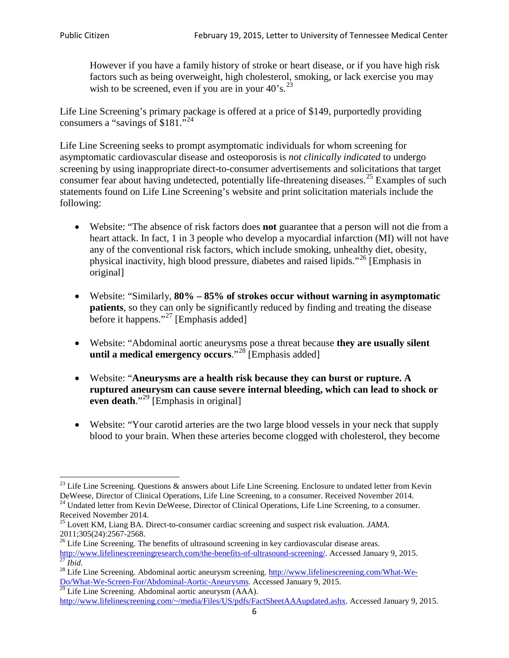However if you have a family history of stroke or heart disease, or if you have high risk factors such as being overweight, high cholesterol, smoking, or lack exercise you may wish to be screened, even if you are in your  $40^\circ$ s.<sup>[23](#page-5-0)</sup>

Life Line Screening's primary package is offered at a price of \$149, purportedly providing consumers a "savings of \$181."<sup>[24](#page-5-1)</sup>

Life Line Screening seeks to prompt asymptomatic individuals for whom screening for asymptomatic cardiovascular disease and osteoporosis is *not clinically indicated* to undergo screening by using inappropriate direct-to-consumer advertisements and solicitations that target consumer fear about having undetected, potentially life-threatening diseases.<sup>[25](#page-5-2)</sup> Examples of such statements found on Life Line Screening's website and print solicitation materials include the following:

- Website: "The absence of risk factors does **not** guarantee that a person will not die from a heart attack. In fact, 1 in 3 people who develop a myocardial infarction (MI) will not have any of the conventional risk factors, which include smoking, unhealthy diet, obesity, physical inactivity, high blood pressure, diabetes and raised lipids."[26](#page-5-3) [Emphasis in original]
- Website: "Similarly, **80% – 85% of strokes occur without warning in asymptomatic patients**, so they can only be significantly reduced by finding and treating the disease before it happens."<sup>[27](#page-5-4)</sup> [Emphasis added]
- Website: "Abdominal aortic aneurysms pose a threat because **they are usually silent until a medical emergency occurs**."[28](#page-5-5) [Emphasis added]
- Website: "**Aneurysms are a health risk because they can burst or rupture. A ruptured aneurysm can cause severe internal bleeding, which can lead to shock or even death.**"<sup>[29](#page-5-6)</sup> [Emphasis in original]
- Website: "Your carotid arteries are the two large blood vessels in your neck that supply blood to your brain. When these arteries become clogged with cholesterol, they become

<span id="page-5-0"></span><sup>&</sup>lt;sup>23</sup> Life Line Screening. Questions  $\&$  answers about Life Line Screening. Enclosure to undated letter from Kevin DeWeese, Director of Clinical Operations, Life Line Screening, to a consumer. Received November 2014.

<span id="page-5-1"></span><sup>&</sup>lt;sup>24</sup> Undated letter from Kevin DeWeese, Director of Clinical Operations, Life Line Screening, to a consumer. Received November 2014.

<span id="page-5-2"></span><sup>25</sup> Lovett KM, Liang BA. Direct-to-consumer cardiac screening and suspect risk evaluation. *JAMA*.  $2011;305(24):2567-2568$ .<br><sup>26</sup> Life Line Screening. The benefits of ultrasound screening in key cardiovascular disease areas.

<span id="page-5-3"></span>[http://www.lifelinescreeningresearch.com/the-benefits-of-ultrasound-screening/.](http://www.lifelinescreeningresearch.com/the-benefits-of-ultrasound-screening/) Accessed January 9, 2015.<br><sup>28</sup> Life Line Screening. Abdominal aortic aneurysm screening. [http://www.lifelinescreening.com/What-We-](http://www.lifelinescreening.com/What-We-Do/What-We-Screen-For/Abdominal-Aortic-Aneurysms)

<span id="page-5-5"></span><span id="page-5-4"></span>[Do/What-We-Screen-For/Abdominal-Aortic-Aneurysms.](http://www.lifelinescreening.com/What-We-Do/What-We-Screen-For/Abdominal-Aortic-Aneurysms) Accessed January 9, 2015. <sup>29</sup> Life Line Screening. Abdominal aortic aneurysm (AAA).

<span id="page-5-6"></span>[http://www.lifelinescreening.com/~/media/Files/US/pdfs/FactSheetAAAupdated.ashx.](http://www.lifelinescreening.com/~/media/Files/US/pdfs/FactSheetAAAupdated.ashx) Accessed January 9, 2015.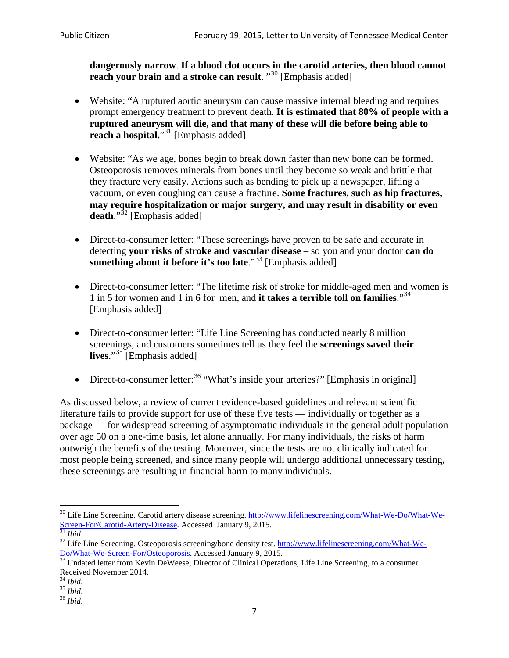**dangerously narrow**. **If a blood clot occurs in the carotid arteries, then blood cannot reach your brain and a stroke can result**. "<sup>[30](#page-6-0)</sup> [Emphasis added]

- Website: "A ruptured aortic aneurysm can cause massive internal bleeding and requires prompt emergency treatment to prevent death. **It is estimated that 80% of people with a ruptured aneurysm will die, and that many of these will die before being able to reach a hospital.**"<sup>[31](#page-6-1)</sup> [Emphasis added]
- Website: "As we age, bones begin to break down faster than new bone can be formed. Osteoporosis removes minerals from bones until they become so weak and brittle that they fracture very easily. Actions such as bending to pick up a newspaper, lifting a vacuum, or even coughing can cause a fracture. **Some fractures, such as hip fractures, may require hospitalization or major surgery, and may result in disability or even**  death."<sup>[32](#page-6-2)</sup> [Emphasis added]
- Direct-to-consumer letter: "These screenings have proven to be safe and accurate in detecting **your risks of stroke and vascular disease** – so you and your doctor **can do something about it before it's too late.**"<sup>[33](#page-6-3)</sup> [Emphasis added]
- Direct-to-consumer letter: "The lifetime risk of stroke for middle-aged men and women is 1 in 5 for women and 1 in 6 for men, and **it takes a terrible toll on families**."[34](#page-6-4) [Emphasis added]
- Direct-to-consumer letter: "Life Line Screening has conducted nearly 8 million screenings, and customers sometimes tell us they feel the **screenings saved their**  lives."<sup>[35](#page-6-5)</sup> [Emphasis added]
- Direct-to-consumer letter:  $36$  "What's inside your arteries?" [Emphasis in original]

As discussed below, a review of current evidence-based guidelines and relevant scientific literature fails to provide support for use of these five tests — individually or together as a package — for widespread screening of asymptomatic individuals in the general adult population over age 50 on a one-time basis, let alone annually. For many individuals, the risks of harm outweigh the benefits of the testing. Moreover, since the tests are not clinically indicated for most people being screened, and since many people will undergo additional unnecessary testing, these screenings are resulting in financial harm to many individuals.

<span id="page-6-0"></span><sup>&</sup>lt;sup>30</sup> Life Line Screening. Carotid artery disease screening. [http://www.lifelinescreening.com/What-We-Do/What-We-](http://www.lifelinescreening.com/What-We-Do/What-We-Screen-For/Carotid-Artery-Disease)[Screen-For/Carotid-Artery-Disease.](http://www.lifelinescreening.com/What-We-Do/What-We-Screen-For/Carotid-Artery-Disease) Accessed January 9, 2015.<br><sup>31</sup> *Ibid.* 32 Life Line Screening. Osteoporosis screening/bone density test. [http://www.lifelinescreening.com/What-We-](http://www.lifelinescreening.com/What-We-Do/What-We-Screen-For/Osteoporosis)

<span id="page-6-2"></span><span id="page-6-1"></span>[Do/What-We-Screen-For/Osteoporosis.](http://www.lifelinescreening.com/What-We-Do/What-We-Screen-For/Osteoporosis) Accessed January 9, 2015. <sup>33</sup> Undated letter from Kevin DeWeese, Director of Clinical Operations, Life Line Screening, to a consumer.

<span id="page-6-3"></span>Received November 2014.<br><sup>34</sup> Ibid.

<span id="page-6-4"></span>

<span id="page-6-5"></span><sup>34</sup> *Ibid*. 35 *Ibid*. 36 *Ibid*.

<span id="page-6-6"></span>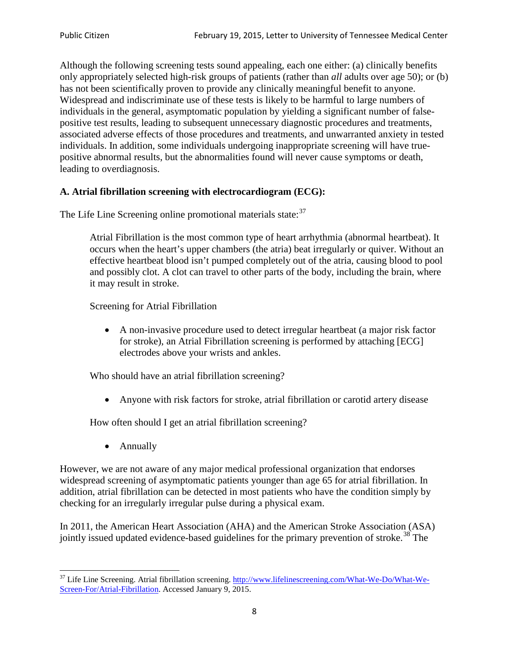Although the following screening tests sound appealing, each one either: (a) clinically benefits only appropriately selected high-risk groups of patients (rather than *all* adults over age 50); or (b) has not been scientifically proven to provide any clinically meaningful benefit to anyone. Widespread and indiscriminate use of these tests is likely to be harmful to large numbers of individuals in the general, asymptomatic population by yielding a significant number of falsepositive test results, leading to subsequent unnecessary diagnostic procedures and treatments, associated adverse effects of those procedures and treatments, and unwarranted anxiety in tested individuals. In addition, some individuals undergoing inappropriate screening will have truepositive abnormal results, but the abnormalities found will never cause symptoms or death, leading to overdiagnosis.

## **A. Atrial fibrillation screening with electrocardiogram (ECG):**

The Life Line Screening online promotional materials state:<sup>[37](#page-7-0)</sup>

Atrial Fibrillation is the most common type of heart arrhythmia (abnormal heartbeat). It occurs when the heart's upper chambers (the atria) beat irregularly or quiver. Without an effective heartbeat blood isn't pumped completely out of the atria, causing blood to pool and possibly clot. A clot can travel to other parts of the body, including the brain, where it may result in stroke.

Screening for Atrial Fibrillation

• A non-invasive procedure used to detect irregular heartbeat (a major risk factor for stroke), an Atrial Fibrillation screening is performed by attaching [ECG] electrodes above your wrists and ankles.

Who should have an atrial fibrillation screening?

• Anyone with risk factors for stroke, atrial fibrillation or carotid artery disease

How often should I get an atrial fibrillation screening?

• Annually

<span id="page-7-1"></span>However, we are not aware of any major medical professional organization that endorses widespread screening of asymptomatic patients younger than age 65 for atrial fibrillation. In addition, atrial fibrillation can be detected in most patients who have the condition simply by checking for an irregularly irregular pulse during a physical exam.

In 2011, the American Heart Association (AHA) and the American Stroke Association (ASA) jointly issued updated evidence-based guidelines for the primary prevention of stroke.<sup>[38](#page-7-1)</sup> The

<span id="page-7-0"></span><sup>&</sup>lt;sup>37</sup> Life Line Screening. Atrial fibrillation screening. [http://www.lifelinescreening.com/What-We-Do/What-We-](http://www.lifelinescreening.com/What-We-Do/What-We-Screen-For/Atrial-Fibrillation)[Screen-For/Atrial-Fibrillation.](http://www.lifelinescreening.com/What-We-Do/What-We-Screen-For/Atrial-Fibrillation) Accessed January 9, 2015.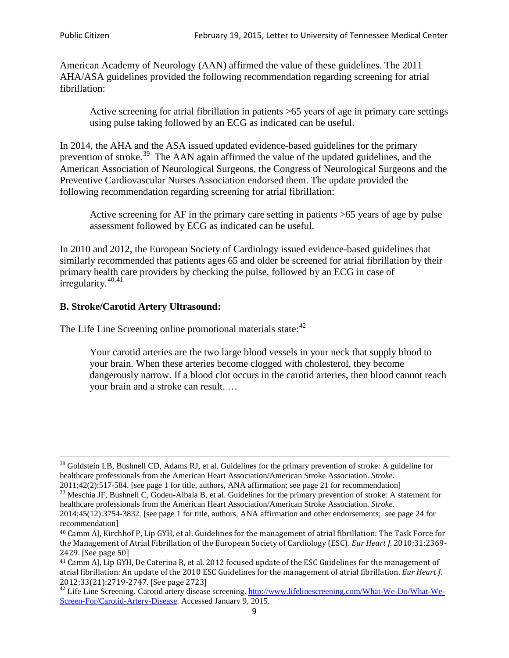American Academy of Neurology (AAN) affirmed the value of these guidelines. The 2011 AHA/ASA guidelines provided the following recommendation regarding screening for atrial fibrillation:

Active screening for atrial fibrillation in patients >65 years of age in primary care settings using pulse taking followed by an ECG as indicated can be useful.

In 2014, the AHA and the ASA issued updated evidence-based guidelines for the primary prevention of stroke.<sup>[39](#page-8-0)</sup> The AAN again affirmed the value of the updated guidelines, and the American Association of Neurological Surgeons, the Congress of Neurological Surgeons and the Preventive Cardiovascular Nurses Association endorsed them. The update provided the following recommendation regarding screening for atrial fibrillation:

Active screening for AF in the primary care setting in patients >65 years of age by pulse assessment followed by ECG as indicated can be useful.

In 2010 and 2012, the European Society of Cardiology issued evidence-based guidelines that similarly recommended that patients ages 65 and older be screened for atrial fibrillation by their primary health care providers by checking the pulse, followed by an ECG in case of irregularity. $40,41$  $40,41$ 

# **B. Stroke/Carotid Artery Ultrasound:**

The Life Line Screening online promotional materials state:<sup>[42](#page-8-3)</sup>

Your carotid arteries are the two large blood vessels in your neck that supply blood to your brain. When these arteries become clogged with cholesterol, they become dangerously narrow. If a blood clot occurs in the carotid arteries, then blood cannot reach your brain and a stroke can result. …

<sup>&</sup>lt;sup>38</sup> Goldstein LB, Bushnell CD, Adams RJ, et al. Guidelines for the primary prevention of stroke: A guideline for healthcare professionals from the American Heart Association/American Stroke Association. *Stroke*.

<sup>2011;42(2):517-584.</sup> [see page 1 for title, authors, ANA affirmation; see page 21 for recommendation]

<span id="page-8-0"></span> $\frac{2011,42(2)(317,601)}{39}$  Meschia JF, Bushnell C, Goden-Albala B, et al. Guidelines for the primary prevention of stroke: A statement for healthcare professionals from the American Heart Association/American Stroke Association. *Stroke*.

<sup>2014;45(12):3754-3832.</sup> [see page 1 for title, authors, ANA affirmation and other endorsements; see page 24 for recommendation]

<span id="page-8-1"></span><sup>40</sup> Camm AJ, Kirchhof P, Lip GYH, et al. Guidelines for the management of atrial fibrillation: The Task Force for the Management of Atrial Fibrillation of the European Society of Cardiology (ESC). *Eur Heart J*. 2010;31:2369- 2429. [See page 50]

<span id="page-8-2"></span><sup>41</sup> Camm AJ, Lip GYH, De Caterina R, et al. 2012 focused update of the ESC Guidelines for the management of atrial fibrillation: An update of the 2010 ESC Guidelines for the management of atrial fibrillation. *Eur Heart J*.

<span id="page-8-3"></span><sup>&</sup>lt;sup>2012</sup>;23(21):2719-2747. [See page 2733] 42 Life Line Screening. [http://www.lifelinescreening.com/What-We-Do/What-We-](http://www.lifelinescreening.com/What-We-Do/What-We-Screen-For/Carotid-Artery-Disease)[Screen-For/Carotid-Artery-Disease.](http://www.lifelinescreening.com/What-We-Do/What-We-Screen-For/Carotid-Artery-Disease) Accessed January 9, 2015.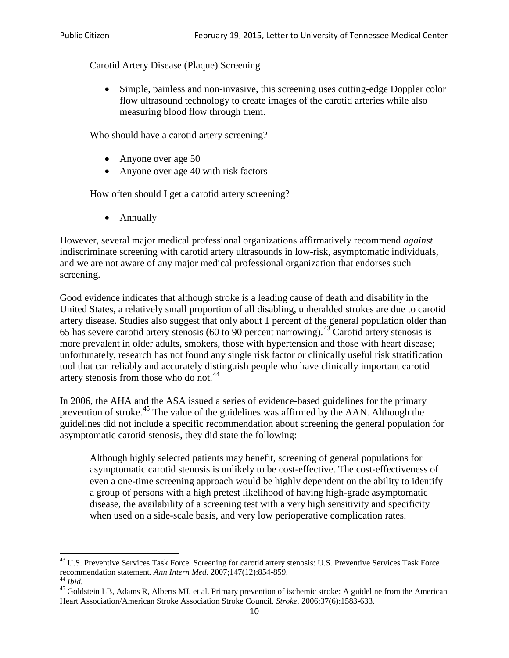Carotid Artery Disease (Plaque) Screening

• Simple, painless and non-invasive, this screening uses cutting-edge Doppler color flow ultrasound technology to create images of the carotid arteries while also measuring blood flow through them.

Who should have a carotid artery screening?

- Anyone over age 50
- Anyone over age 40 with risk factors

How often should I get a carotid artery screening?

• Annually

However, several major medical professional organizations affirmatively recommend *against* indiscriminate screening with carotid artery ultrasounds in low-risk, asymptomatic individuals, and we are not aware of any major medical professional organization that endorses such screening.

Good evidence indicates that although stroke is a leading cause of death and disability in the United States, a relatively small proportion of all disabling, unheralded strokes are due to carotid artery disease. Studies also suggest that only about 1 percent of the general population older than 65 has severe carotid artery stenosis (60 to 90 percent narrowing).<sup>[43](#page-9-0)</sup> Carotid artery stenosis is more prevalent in older adults, smokers, those with hypertension and those with heart disease; unfortunately, research has not found any single risk factor or clinically useful risk stratification tool that can reliably and accurately distinguish people who have clinically important carotid artery stenosis from those who do not.<sup>[44](#page-9-1)</sup>

In 2006, the AHA and the ASA issued a series of evidence-based guidelines for the primary prevention of stroke.[45](#page-9-2) The value of the guidelines was affirmed by the AAN. Although the guidelines did not include a specific recommendation about screening the general population for asymptomatic carotid stenosis, they did state the following:

Although highly selected patients may benefit, screening of general populations for asymptomatic carotid stenosis is unlikely to be cost-effective. The cost-effectiveness of even a one-time screening approach would be highly dependent on the ability to identify a group of persons with a high pretest likelihood of having high-grade asymptomatic disease, the availability of a screening test with a very high sensitivity and specificity when used on a side-scale basis, and very low perioperative complication rates.

<span id="page-9-0"></span> $^{43}$  U.S. Preventive Services Task Force. Screening for carotid artery stenosis: U.S. Preventive Services Task Force recommendation statement. Ann Intern Med. 2007;147(12):854-859.

<span id="page-9-2"></span><span id="page-9-1"></span><sup>&</sup>lt;sup>44</sup> *Ibid*. <sup>45</sup> Goldstein LB, Adams R, Alberts MJ, et al. Primary prevention of ischemic stroke: A guideline from the American <sup>45</sup> Goldstein LB, Adams R, Alberts MJ, et al. Primary prevention of ischemic stroke: A guide Heart Association/American Stroke Association Stroke Council. *Stroke*. 2006;37(6):1583-633.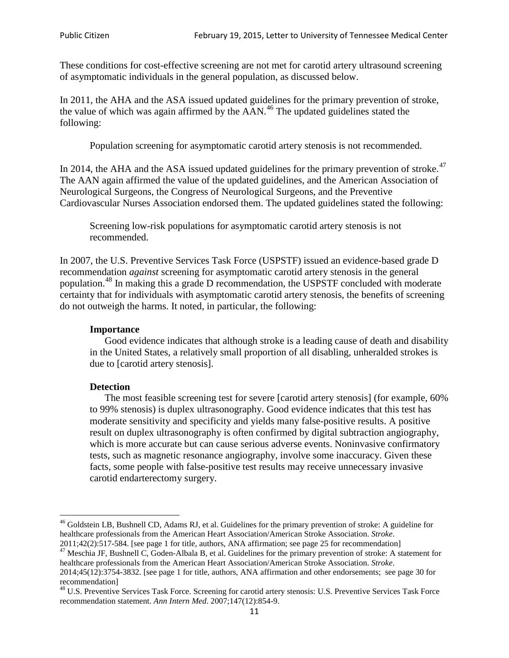These conditions for cost-effective screening are not met for carotid artery ultrasound screening of asymptomatic individuals in the general population, as discussed below.

In 2011, the AHA and the ASA issued updated guidelines for the primary prevention of stroke, the value of which was again affirmed by the  $AAN<sup>46</sup>$  $AAN<sup>46</sup>$  $AAN<sup>46</sup>$ . The updated guidelines stated the following:

Population screening for asymptomatic carotid artery stenosis is not recommended.

In 2014, the AHA and the ASA issued updated guidelines for the primary prevention of stroke. $47$ The AAN again affirmed the value of the updated guidelines, and the American Association of Neurological Surgeons, the Congress of Neurological Surgeons, and the Preventive Cardiovascular Nurses Association endorsed them. The updated guidelines stated the following:

Screening low-risk populations for asymptomatic carotid artery stenosis is not recommended.

In 2007, the U.S. Preventive Services Task Force (USPSTF) issued an evidence-based grade D recommendation *against* screening for asymptomatic carotid artery stenosis in the general population.[48](#page-10-2) In making this a grade D recommendation, the USPSTF concluded with moderate certainty that for individuals with asymptomatic carotid artery stenosis, the benefits of screening do not outweigh the harms. It noted, in particular, the following:

#### **Importance**

Good evidence indicates that although stroke is a leading cause of death and disability in the United States, a relatively small proportion of all disabling, unheralded strokes is due to [carotid artery stenosis].

#### **Detection**

The most feasible screening test for severe [carotid artery stenosis] (for example, 60% to 99% stenosis) is duplex ultrasonography. Good evidence indicates that this test has moderate sensitivity and specificity and yields many false-positive results. A positive result on duplex ultrasonography is often confirmed by digital subtraction angiography, which is more accurate but can cause serious adverse events. Noninvasive confirmatory tests, such as magnetic resonance angiography, involve some inaccuracy. Given these facts, some people with false-positive test results may receive unnecessary invasive carotid endarterectomy surgery.

<span id="page-10-0"></span><sup>&</sup>lt;sup>46</sup> Goldstein LB, Bushnell CD, Adams RJ, et al. Guidelines for the primary prevention of stroke: A guideline for healthcare professionals from the American Heart Association/American Stroke Association. *Stroke*.<br>2011;42(2):517-584. [see page 1 for title, authors, ANA affirmation; see page 25 for recommendation]

<span id="page-10-1"></span><sup>&</sup>lt;sup>47</sup> Meschia JF, Bushnell C, Goden-Albala B, et al. Guidelines for the primary prevention of stroke: A statement for healthcare professionals from the American Heart Association/American Stroke Association. *Stroke*. 2014;45(12):3754-3832. [see page 1 for title, authors, ANA affirmation and other endorsements; see page 30 for

recommendation]

<span id="page-10-2"></span><sup>&</sup>lt;sup>48</sup> U.S. Preventive Services Task Force. Screening for carotid artery stenosis: U.S. Preventive Services Task Force recommendation statement. *Ann Intern Med*. 2007;147(12):854-9.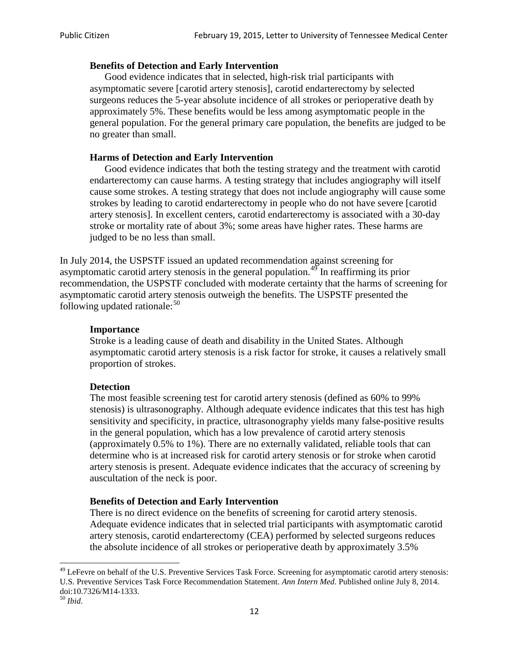### **Benefits of Detection and Early Intervention**

Good evidence indicates that in selected, high-risk trial participants with asymptomatic severe [carotid artery stenosis], carotid endarterectomy by selected surgeons reduces the 5-year absolute incidence of all strokes or perioperative death by approximately 5%. These benefits would be less among asymptomatic people in the general population. For the general primary care population, the benefits are judged to be no greater than small.

### **Harms of Detection and Early Intervention**

Good evidence indicates that both the testing strategy and the treatment with carotid endarterectomy can cause harms. A testing strategy that includes angiography will itself cause some strokes. A testing strategy that does not include angiography will cause some strokes by leading to carotid endarterectomy in people who do not have severe [carotid artery stenosis]. In excellent centers, carotid endarterectomy is associated with a 30-day stroke or mortality rate of about 3%; some areas have higher rates. These harms are judged to be no less than small.

In July 2014, the USPSTF issued an updated recommendation against screening for asymptomatic carotid artery stenosis in the general population.<sup>[49](#page-11-0)</sup> In reaffirming its prior recommendation, the USPSTF concluded with moderate certainty that the harms of screening for asymptomatic carotid artery stenosis outweigh the benefits. The USPSTF presented the following updated rationale: $50$ 

#### **Importance**

Stroke is a leading cause of death and disability in the United States. Although asymptomatic carotid artery stenosis is a risk factor for stroke, it causes a relatively small proportion of strokes.

#### **Detection**

The most feasible screening test for carotid artery stenosis (defined as 60% to 99% stenosis) is ultrasonography. Although adequate evidence indicates that this test has high sensitivity and specificity, in practice, ultrasonography yields many false-positive results in the general population, which has a low prevalence of carotid artery stenosis (approximately 0.5% to 1%). There are no externally validated, reliable tools that can determine who is at increased risk for carotid artery stenosis or for stroke when carotid artery stenosis is present. Adequate evidence indicates that the accuracy of screening by auscultation of the neck is poor.

## **Benefits of Detection and Early Intervention**

There is no direct evidence on the benefits of screening for carotid artery stenosis. Adequate evidence indicates that in selected trial participants with asymptomatic carotid artery stenosis, carotid endarterectomy (CEA) performed by selected surgeons reduces the absolute incidence of all strokes or perioperative death by approximately 3.5%

<span id="page-11-0"></span><sup>&</sup>lt;sup>49</sup> LeFevre on behalf of the U.S. Preventive Services Task Force. Screening for asymptomatic carotid artery stenosis: U.S. Preventive Services Task Force Recommendation Statement. *Ann Intern Med*. Published online July 8, 2014. doi:10.7326/M14-1333. <sup>50</sup> *Ibid*.

<span id="page-11-1"></span>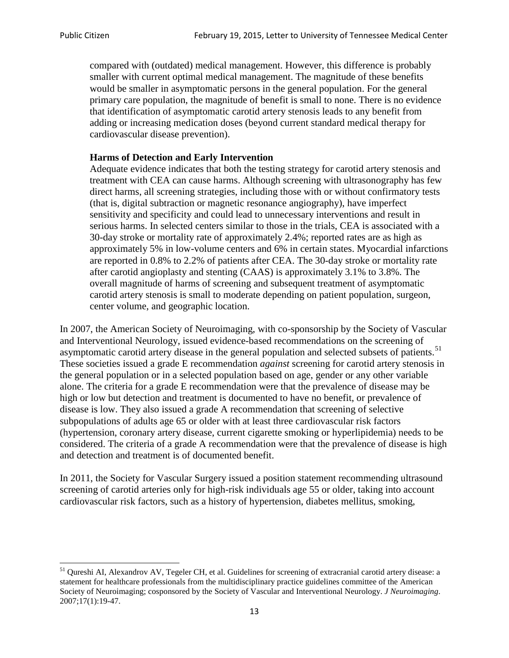compared with (outdated) medical management. However, this difference is probably smaller with current optimal medical management. The magnitude of these benefits would be smaller in asymptomatic persons in the general population. For the general primary care population, the magnitude of benefit is small to none. There is no evidence that identification of asymptomatic carotid artery stenosis leads to any benefit from adding or increasing medication doses (beyond current standard medical therapy for cardiovascular disease prevention).

### **Harms of Detection and Early Intervention**

Adequate evidence indicates that both the testing strategy for carotid artery stenosis and treatment with CEA can cause harms. Although screening with ultrasonography has few direct harms, all screening strategies, including those with or without confirmatory tests (that is, digital subtraction or magnetic resonance angiography), have imperfect sensitivity and specificity and could lead to unnecessary interventions and result in serious harms. In selected centers similar to those in the trials, CEA is associated with a 30-day stroke or mortality rate of approximately 2.4%; reported rates are as high as approximately 5% in low-volume centers and 6% in certain states. Myocardial infarctions are reported in 0.8% to 2.2% of patients after CEA. The 30-day stroke or mortality rate after carotid angioplasty and stenting (CAAS) is approximately 3.1% to 3.8%. The overall magnitude of harms of screening and subsequent treatment of asymptomatic carotid artery stenosis is small to moderate depending on patient population, surgeon, center volume, and geographic location.

In 2007, the American Society of Neuroimaging, with co-sponsorship by the Society of Vascular and Interventional Neurology, issued evidence-based recommendations on the screening of asymptomatic carotid artery disease in the general population and selected subsets of patients.<sup>[51](#page-12-0)</sup> These societies issued a grade E recommendation *against* screening for carotid artery stenosis in the general population or in a selected population based on age, gender or any other variable alone. The criteria for a grade E recommendation were that the prevalence of disease may be high or low but detection and treatment is documented to have no benefit, or prevalence of disease is low. They also issued a grade A recommendation that screening of selective subpopulations of adults age 65 or older with at least three cardiovascular risk factors (hypertension, coronary artery disease, current cigarette smoking or hyperlipidemia) needs to be considered. The criteria of a grade A recommendation were that the prevalence of disease is high and detection and treatment is of documented benefit.

In 2011, the Society for Vascular Surgery issued a position statement recommending ultrasound screening of carotid arteries only for high-risk individuals age 55 or older, taking into account cardiovascular risk factors, such as a history of hypertension, diabetes mellitus, smoking,

<span id="page-12-0"></span><sup>&</sup>lt;sup>51</sup> Qureshi AI, Alexandrov AV, Tegeler CH, et al. Guidelines for screening of extracranial carotid artery disease: a statement for healthcare professionals from the multidisciplinary practice guidelines committee of the American Society of Neuroimaging; cosponsored by the Society of Vascular and Interventional Neurology. *J Neuroimaging*. 2007;17(1):19-47.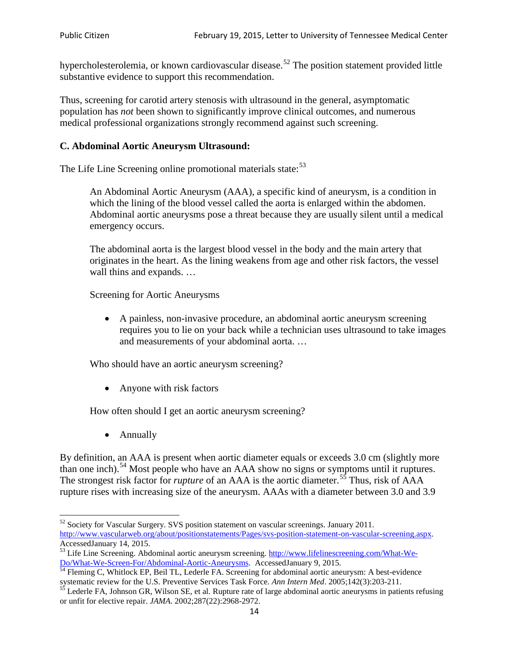hypercholesterolemia, or known cardiovascular disease.<sup>[52](#page-13-0)</sup> The position statement provided little substantive evidence to support this recommendation.

Thus, screening for carotid artery stenosis with ultrasound in the general, asymptomatic population has *not* been shown to significantly improve clinical outcomes, and numerous medical professional organizations strongly recommend against such screening.

### **C. Abdominal Aortic Aneurysm Ultrasound:**

The Life Line Screening online promotional materials state:<sup>[53](#page-13-1)</sup>

An Abdominal Aortic Aneurysm (AAA), a specific kind of aneurysm, is a condition in which the lining of the blood vessel called the aorta is enlarged within the abdomen. Abdominal aortic aneurysms pose a threat because they are usually silent until a medical emergency occurs.

The abdominal aorta is the largest blood vessel in the body and the main artery that originates in the heart. As the lining weakens from age and other risk factors, the vessel wall thins and expands. …

Screening for Aortic Aneurysms

• A painless, non-invasive procedure, an abdominal aortic aneurysm screening requires you to lie on your back while a technician uses ultrasound to take images and measurements of your abdominal aorta. …

Who should have an aortic aneurysm screening?

• Anyone with risk factors

How often should I get an aortic aneurysm screening?

• Annually

By definition, an AAA is present when aortic diameter equals or exceeds 3.0 cm (slightly more than one inch).<sup>[54](#page-13-2)</sup> Most people who have an AAA show no signs or symptoms until it ruptures. The strongest risk factor for *rupture* of an AAA is the aortic diameter.<sup>[55](#page-13-3)</sup> Thus, risk of AAA rupture rises with increasing size of the aneurysm. AAAs with a diameter between 3.0 and 3.9

<span id="page-13-0"></span><sup>&</sup>lt;sup>52</sup> Society for Vascular Surgery. SVS position statement on vascular screenings. January 2011. http://www.vascularweb.org/about/positionstatements/Pages/svs-position-statement-on-vascular-screening.aspx.<br>Accessed January 14, 2015.

<span id="page-13-1"></span>Accessed January 14, 2015.<br>
Sa Life Line Screening. Abdominal aortic aneurysm screening. http://www.lifelinescreening.com/What-We-<br>
Do/What-We-Screen-For/Abdominal-Aortic-Aneurysms. Accessed January 9, 2015.

<span id="page-13-2"></span> $\frac{54}{9}$  Fleming C, Whitlock EP, Beil TL, Lederle FA. Screening for abdominal aortic aneurysm: A best-evidence systematic review for the U.S. Preventive Services Task Force. *Ann Intern Med.* 2005;142(3):203-211.<br><sup>55</sup> Lederle FA, Johnson GR, Wilson SE, et al. Rupture rate of large abdominal aortic aneurysms in patients refusing

<span id="page-13-3"></span>or unfit for elective repair. *JAMA*. 2002;287(22):2968-2972.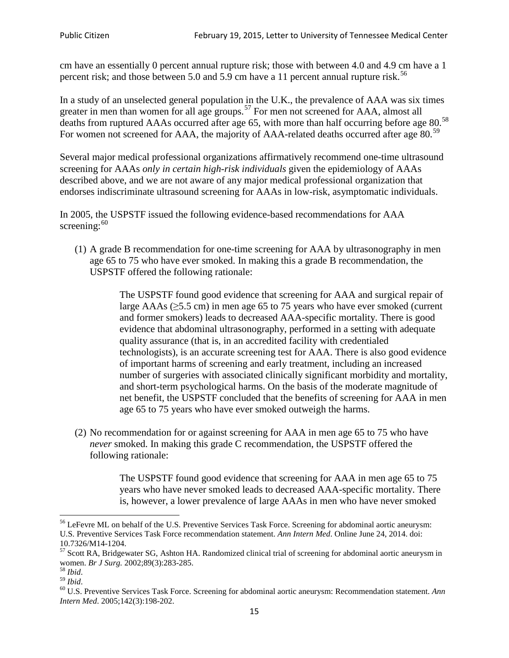cm have an essentially 0 percent annual rupture risk; those with between 4.0 and 4.9 cm have a 1 percent risk; and those between 5.0 and 5.9 cm have a 11 percent annual rupture risk.<sup>[56](#page-14-0)</sup>

In a study of an unselected general population in the U.K., the prevalence of AAA was six times greater in men than women for all age groups.<sup>[57](#page-14-1)</sup> For men not screened for  $AAA$ , almost all deaths from ruptured AAAs occurred after age 65, with more than half occurring before age 80.<sup>[58](#page-14-2)</sup> For women not screened for AAA, the majority of AAA-related deaths occurred after age 80.<sup>[59](#page-14-3)</sup>

Several major medical professional organizations affirmatively recommend one-time ultrasound screening for AAAs *only in certain high-risk individuals* given the epidemiology of AAAs described above, and we are not aware of any major medical professional organization that endorses indiscriminate ultrasound screening for AAAs in low-risk, asymptomatic individuals.

In 2005, the USPSTF issued the following evidence-based recommendations for AAA screening: $60$ 

(1) A grade B recommendation for one-time screening for AAA by ultrasonography in men age 65 to 75 who have ever smoked. In making this a grade [B recommendation,](http://www.uspreventiveservicestaskforce.org/uspstf/gradespre.htm#brec) the USPSTF offered the following rationale:

> The USPSTF found good evidence that screening for AAA and surgical repair of large AAAs ( $\geq$ 5.5 cm) in men age 65 to 75 years who have ever smoked (current and former smokers) leads to decreased AAA-specific mortality. There is good evidence that abdominal ultrasonography, performed in a setting with adequate quality assurance (that is, in an accredited facility with credentialed technologists), is an accurate screening test for AAA. There is also good evidence of important harms of screening and early treatment, including an increased number of surgeries with associated clinically significant morbidity and mortality, and short-term psychological harms. On the basis of the moderate magnitude of net benefit, the USPSTF concluded that the benefits of screening for AAA in men age 65 to 75 years who have ever smoked outweigh the harms.

(2) No recommendation for or against screening for AAA in men age 65 to 75 who have *never* smoked. In making this grade C recommendation, the USPSTF offered the following rationale:

> The USPSTF found good evidence that screening for AAA in men age 65 to 75 years who have never smoked leads to decreased AAA-specific mortality. There is, however, a lower prevalence of large AAAs in men who have never smoked

<span id="page-14-0"></span><sup>&</sup>lt;sup>56</sup> LeFevre ML on behalf of the U.S. Preventive Services Task Force. Screening for abdominal aortic aneurysm: U.S. Preventive Services Task Force recommendation statement. *Ann Intern Med*. Online June 24, 2014. doi:

<span id="page-14-1"></span><sup>10.7326/</sup>M14-1204.<br> $57$  Scott RA, Bridgewater SG, Ashton HA. Randomized clinical trial of screening for abdominal aortic aneurysm in women. *Br J Surg.* 2002;89(3):283-285.

<span id="page-14-4"></span><span id="page-14-3"></span>

<span id="page-14-2"></span><sup>&</sup>lt;sup>58</sup> *Ibid.*<br><sup>59</sup> *Ibid.* 2002;<br><sup>60</sup> U.S. Preventive Services Task Force. Screening for abdominal aortic aneurysm: Recommendation statement. *Ann Intern Med*. 2005;142(3):198-202.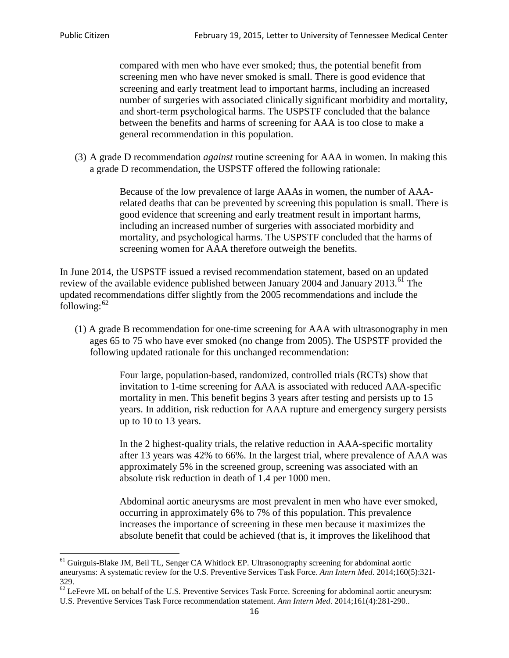compared with men who have ever smoked; thus, the potential benefit from screening men who have never smoked is small. There is good evidence that screening and early treatment lead to important harms, including an increased number of surgeries with associated clinically significant morbidity and mortality, and short-term psychological harms. The USPSTF concluded that the balance between the benefits and harms of screening for AAA is too close to make a general recommendation in this population.

(3) A grade D recommendation *against* routine screening for AAA in women. In making this a grade D recommendation, the USPSTF offered the following rationale:

> Because of the low prevalence of large AAAs in women, the number of AAArelated deaths that can be prevented by screening this population is small. There is good evidence that screening and early treatment result in important harms, including an increased number of surgeries with associated morbidity and mortality, and psychological harms. The USPSTF concluded that the harms of screening women for AAA therefore outweigh the benefits.

In June 2014, the USPSTF issued a revised recommendation statement, based on an updated review of the available evidence published between January 2004 and January 2013.<sup>[61](#page-15-0)</sup> The updated recommendations differ slightly from the 2005 recommendations and include the following: $62$ 

(1) A grade B recommendation for one-time screening for AAA with ultrasonography in men ages 65 to 75 who have ever smoked (no change from 2005). The USPSTF provided the following updated rationale for this unchanged recommendation:

> Four large, population-based, randomized, controlled trials (RCTs) show that invitation to 1-time screening for AAA is associated with reduced AAA-specific mortality in men. This benefit begins 3 years after testing and persists up to 15 years. In addition, risk reduction for AAA rupture and emergency surgery persists up to 10 to 13 years.

> In the 2 highest-quality trials, the relative reduction in AAA-specific mortality after 13 years was 42% to 66%. In the largest trial, where prevalence of AAA was approximately 5% in the screened group, screening was associated with an absolute risk reduction in death of 1.4 per 1000 men.

Abdominal aortic aneurysms are most prevalent in men who have ever smoked, occurring in approximately 6% to 7% of this population. This prevalence increases the importance of screening in these men because it maximizes the absolute benefit that could be achieved (that is, it improves the likelihood that

<span id="page-15-0"></span><sup>61</sup> Guirguis-Blake JM, Beil TL, Senger CA Whitlock EP. Ultrasonography screening for abdominal aortic aneurysms: A systematic review for the U.S. Preventive Services Task Force. *Ann Intern Med*. 2014;160(5):321- 329.

<span id="page-15-1"></span> $62$  LeFevre ML on behalf of the U.S. Preventive Services Task Force. Screening for abdominal aortic aneurysm: U.S. Preventive Services Task Force recommendation statement. *Ann Intern Med*. 2014;161(4):281-290..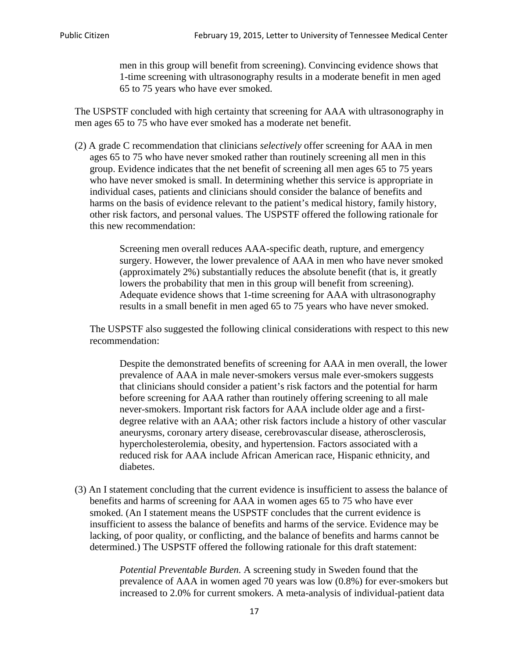men in this group will benefit from screening). Convincing evidence shows that 1-time screening with ultrasonography results in a moderate benefit in men aged 65 to 75 years who have ever smoked.

The USPSTF concluded with high certainty that screening for AAA with ultrasonography in men ages 65 to 75 who have ever smoked has a moderate net benefit.

(2) A grade C recommendation that clinicians *selectively* offer screening for AAA in men ages 65 to 75 who have never smoked rather than routinely screening all men in this group. Evidence indicates that the net benefit of screening all men ages 65 to 75 years who have never smoked is small. In determining whether this service is appropriate in individual cases, patients and clinicians should consider the balance of benefits and harms on the basis of evidence relevant to the patient's medical history, family history, other risk factors, and personal values. The USPSTF offered the following rationale for this new recommendation:

> Screening men overall reduces AAA-specific death, rupture, and emergency surgery. However, the lower prevalence of AAA in men who have never smoked (approximately 2%) substantially reduces the absolute benefit (that is, it greatly lowers the probability that men in this group will benefit from screening). Adequate evidence shows that 1-time screening for AAA with ultrasonography results in a small benefit in men aged 65 to 75 years who have never smoked.

The USPSTF also suggested the following clinical considerations with respect to this new recommendation:

Despite the demonstrated benefits of screening for AAA in men overall, the lower prevalence of AAA in male never-smokers versus male ever-smokers suggests that clinicians should consider a patient's risk factors and the potential for harm before screening for AAA rather than routinely offering screening to all male never-smokers. Important risk factors for AAA include older age and a firstdegree relative with an AAA; other risk factors include a history of other vascular aneurysms, coronary artery disease, cerebrovascular disease, atherosclerosis, hypercholesterolemia, obesity, and hypertension. Factors associated with a reduced risk for AAA include African American race, Hispanic ethnicity, and diabetes.

(3) An I statement concluding that the current evidence is insufficient to assess the balance of benefits and harms of screening for AAA in women ages 65 to 75 who have ever smoked. (An I statement means the USPSTF concludes that the current evidence is insufficient to assess the balance of benefits and harms of the service. Evidence may be lacking, of poor quality, or conflicting, and the balance of benefits and harms cannot be determined.) The USPSTF offered the following rationale for this draft statement:

> *Potential Preventable Burden.* A screening study in Sweden found that the prevalence of AAA in women aged 70 years was low (0.8%) for ever-smokers but increased to 2.0% for current smokers. A meta-analysis of individual-patient data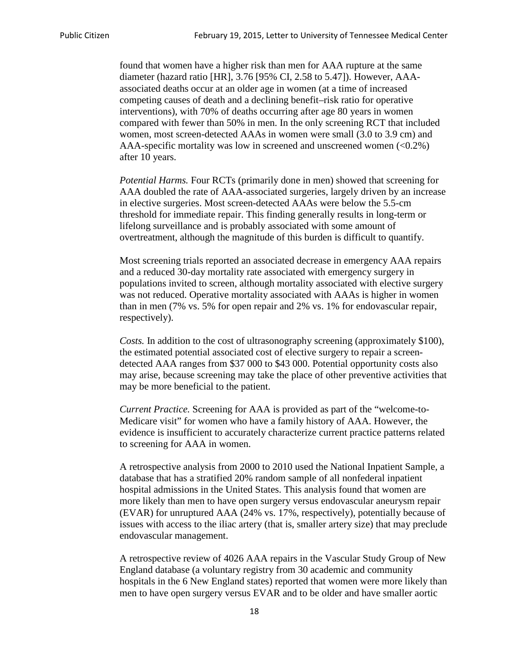found that women have a higher risk than men for AAA rupture at the same diameter (hazard ratio [HR], 3.76 [95% CI, 2.58 to 5.47]). However, AAAassociated deaths occur at an older age in women (at a time of increased competing causes of death and a declining benefit–risk ratio for operative interventions), with 70% of deaths occurring after age 80 years in women compared with fewer than 50% in men. In the only screening RCT that included women, most screen-detected AAAs in women were small (3.0 to 3.9 cm) and AAA-specific mortality was low in screened and unscreened women (<0.2%) after 10 years.

*Potential Harms.* Four RCTs (primarily done in men) showed that screening for AAA doubled the rate of AAA-associated surgeries, largely driven by an increase in elective surgeries. Most screen-detected AAAs were below the 5.5-cm threshold for immediate repair. This finding generally results in long-term or lifelong surveillance and is probably associated with some amount of overtreatment, although the magnitude of this burden is difficult to quantify.

Most screening trials reported an associated decrease in emergency AAA repairs and a reduced 30-day mortality rate associated with emergency surgery in populations invited to screen, although mortality associated with elective surgery was not reduced. Operative mortality associated with AAAs is higher in women than in men (7% vs. 5% for open repair and 2% vs. 1% for endovascular repair, respectively).

*Costs.* In addition to the cost of ultrasonography screening (approximately \$100), the estimated potential associated cost of elective surgery to repair a screendetected AAA ranges from \$37 000 to \$43 000. Potential opportunity costs also may arise, because screening may take the place of other preventive activities that may be more beneficial to the patient.

*Current Practice.* Screening for AAA is provided as part of the "welcome-to-Medicare visit" for women who have a family history of AAA. However, the evidence is insufficient to accurately characterize current practice patterns related to screening for AAA in women.

A retrospective analysis from 2000 to 2010 used the National Inpatient Sample, a database that has a stratified 20% random sample of all nonfederal inpatient hospital admissions in the United States. This analysis found that women are more likely than men to have open surgery versus endovascular aneurysm repair (EVAR) for unruptured AAA (24% vs. 17%, respectively), potentially because of issues with access to the iliac artery (that is, smaller artery size) that may preclude endovascular management.

A retrospective review of 4026 AAA repairs in the Vascular Study Group of New England database (a voluntary registry from 30 academic and community hospitals in the 6 New England states) reported that women were more likely than men to have open surgery versus EVAR and to be older and have smaller aortic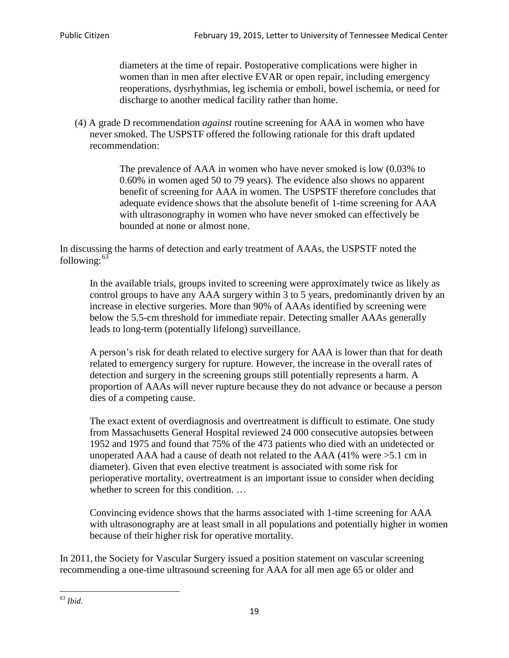diameters at the time of repair. Postoperative complications were higher in women than in men after elective EVAR or open repair, including emergency reoperations, dysrhythmias, leg ischemia or emboli, bowel ischemia, or need for discharge to another medical facility rather than home.

(4) A grade D recommendation *against* routine screening for AAA in women who have never smoked. The USPSTF offered the following rationale for this draft updated recommendation:

> The prevalence of AAA in women who have never smoked is low (0.03% to 0.60% in women aged 50 to 79 years). The evidence also shows no apparent benefit of screening for AAA in women. The USPSTF therefore concludes that adequate evidence shows that the absolute benefit of 1-time screening for AAA with ultrasonography in women who have never smoked can effectively be bounded at none or almost none.

In discussing the harms of detection and early treatment of AAAs, the USPSTF noted the following: $63$ 

In the available trials, groups invited to screening were approximately twice as likely as control groups to have any AAA surgery within 3 to 5 years, predominantly driven by an increase in elective surgeries. More than 90% of AAAs identified by screening were below the 5.5-cm threshold for immediate repair. Detecting smaller AAAs generally leads to long-term (potentially lifelong) surveillance.

A person's risk for death related to elective surgery for AAA is lower than that for death related to emergency surgery for rupture. However, the increase in the overall rates of detection and surgery in the screening groups still potentially represents a harm. A proportion of AAAs will never rupture because they do not advance or because a person dies of a competing cause.

The exact extent of overdiagnosis and overtreatment is difficult to estimate. One study from Massachusetts General Hospital reviewed 24 000 consecutive autopsies between 1952 and 1975 and found that 75% of the 473 patients who died with an undetected or unoperated AAA had a cause of death not related to the AAA (41% were >5.1 cm in diameter). Given that even elective treatment is associated with some risk for perioperative mortality, overtreatment is an important issue to consider when deciding whether to screen for this condition....

Convincing evidence shows that the harms associated with 1-time screening for AAA with ultrasonography are at least small in all populations and potentially higher in women because of their higher risk for operative mortality.

In 2011, the Society for Vascular Surgery issued a position statement on vascular screening recommending a one-time ultrasound screening for AAA for all men age 65 or older and

<span id="page-18-0"></span><sup>63</sup> *Ibid*.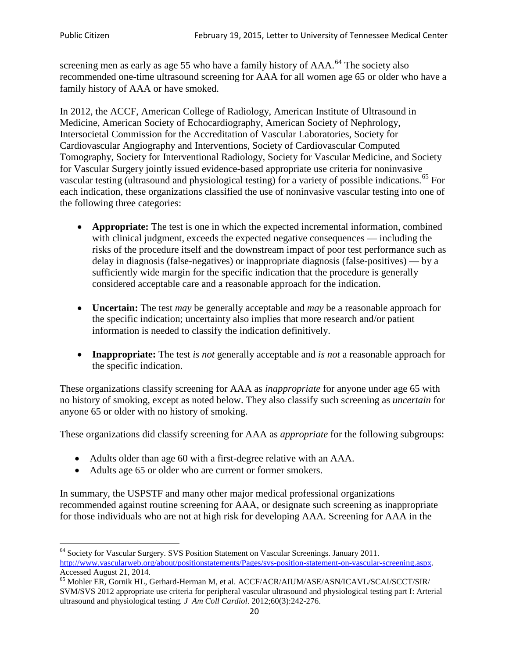screening men as early as age 55 who have a family history of AAA.<sup>[64](#page-19-0)</sup> The society also recommended one-time ultrasound screening for AAA for all women age 65 or older who have a family history of AAA or have smoked.

In 2012, the ACCF, American College of Radiology, American Institute of Ultrasound in Medicine, American Society of Echocardiography, American Society of Nephrology, Intersocietal Commission for the Accreditation of Vascular Laboratories, Society for Cardiovascular Angiography and Interventions, Society of Cardiovascular Computed Tomography, Society for Interventional Radiology, Society for Vascular Medicine, and Society for Vascular Surgery jointly issued evidence-based appropriate use criteria for noninvasive vascular testing (ultrasound and physiological testing) for a variety of possible indications.<sup>[65](#page-19-1)</sup> For each indication, these organizations classified the use of noninvasive vascular testing into one of the following three categories:

- **Appropriate:** The test is one in which the expected incremental information, combined with clinical judgment, exceeds the expected negative consequences — including the risks of the procedure itself and the downstream impact of poor test performance such as delay in diagnosis (false-negatives) or inappropriate diagnosis (false-positives) — by a sufficiently wide margin for the specific indication that the procedure is generally considered acceptable care and a reasonable approach for the indication.
- **Uncertain:** The test *may* be generally acceptable and *may* be a reasonable approach for the specific indication; uncertainty also implies that more research and/or patient information is needed to classify the indication definitively.
- **Inappropriate:** The test *is not* generally acceptable and *is not* a reasonable approach for the specific indication.

These organizations classify screening for AAA as *inappropriate* for anyone under age 65 with no history of smoking, except as noted below. They also classify such screening as *uncertain* for anyone 65 or older with no history of smoking.

These organizations did classify screening for AAA as *appropriate* for the following subgroups:

- Adults older than age 60 with a first-degree relative with an AAA.
- Adults age 65 or older who are current or former smokers.

In summary, the USPSTF and many other major medical professional organizations recommended against routine screening for AAA, or designate such screening as inappropriate for those individuals who are not at high risk for developing AAA. Screening for AAA in the

<span id="page-19-0"></span><sup>&</sup>lt;sup>64</sup> Society for Vascular Surgery. SVS Position Statement on Vascular Screenings. January 2011. [http://www.vascularweb.org/about/positionstatements/Pages/svs-position-statement-on-vascular-screening.aspx.](http://www.vascularweb.org/about/positionstatements/Pages/svs-position-statement-on-vascular-screening.aspx) 

<span id="page-19-1"></span>Accessed August 21, 2014.<br><sup>65</sup> Mohler ER, Gornik HL, Gerhard-Herman M, et al. ACCF/ACR/AIUM/ASE/ASN/ICAVL/SCAI/SCCT/SIR/ SVM/SVS 2012 appropriate use criteria for peripheral vascular ultrasound and physiological testing part I: Arterial ultrasound and physiological testing*. J Am Coll Cardiol*. 2012;60(3):242-276.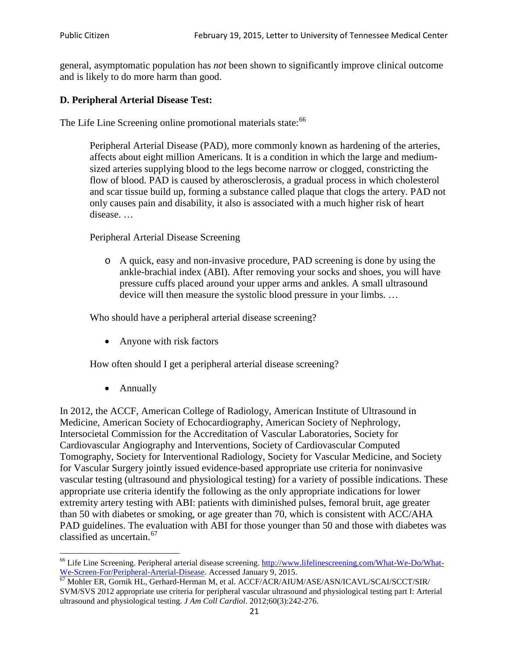general, asymptomatic population has *not* been shown to significantly improve clinical outcome and is likely to do more harm than good.

### **D. Peripheral Arterial Disease Test:**

The Life Line Screening online promotional materials state:<sup>[66](#page-20-0)</sup>

Peripheral Arterial Disease (PAD), more commonly known as hardening of the arteries, affects about eight million Americans. It is a condition in which the large and mediumsized arteries supplying blood to the legs become narrow or clogged, constricting the flow of blood. PAD is caused by atherosclerosis, a gradual process in which cholesterol and scar tissue build up, forming a substance called plaque that clogs the artery. PAD not only causes pain and disability, it also is associated with a much higher risk of heart disease. …

Peripheral Arterial Disease Screening

o A quick, easy and non-invasive procedure, PAD screening is done by using the ankle-brachial index (ABI). After removing your socks and shoes, you will have pressure cuffs placed around your upper arms and ankles. A small ultrasound device will then measure the systolic blood pressure in your limbs. …

Who should have a peripheral arterial disease screening?

• Anyone with risk factors

How often should I get a peripheral arterial disease screening?

• Annually

In 2012, the ACCF, American College of Radiology, American Institute of Ultrasound in Medicine, American Society of Echocardiography, American Society of Nephrology, Intersocietal Commission for the Accreditation of Vascular Laboratories, Society for Cardiovascular Angiography and Interventions, Society of Cardiovascular Computed Tomography, Society for Interventional Radiology, Society for Vascular Medicine, and Society for Vascular Surgery jointly issued evidence-based appropriate use criteria for noninvasive vascular testing (ultrasound and physiological testing) for a variety of possible indications. These appropriate use criteria identify the following as the only appropriate indications for lower extremity artery testing with ABI: patients with diminished pulses, femoral bruit, age greater than 50 with diabetes or smoking, or age greater than 70, which is consistent with ACC/AHA PAD guidelines. The evaluation with ABI for those younger than 50 and those with diabetes was classified as uncertain.<sup>[67](#page-20-1)</sup>

<span id="page-20-0"></span><sup>&</sup>lt;sup>66</sup> Life Line Screening. Peripheral arterial disease screening. [http://www.lifelinescreening.com/What-We-Do/What-](http://www.lifelinescreening.com/What-We-Do/What-We-Screen-For/Peripheral-Arterial-Disease)[We-Screen-For/Peripheral-Arterial-Disease.](http://www.lifelinescreening.com/What-We-Do/What-We-Screen-For/Peripheral-Arterial-Disease) Accessed January 9, 2015.<br><sup>67</sup> Mohler ER, Gornik HL, Gerhard-Herman M, et al. ACCF/ACR/AIUM/ASE/ASN/ICAVL/SCAI/SCCT/SIR/

<span id="page-20-1"></span>SVM/SVS 2012 appropriate use criteria for peripheral vascular ultrasound and physiological testing part I: Arterial ultrasound and physiological testing. *J Am Coll Cardiol*. 2012;60(3):242-276.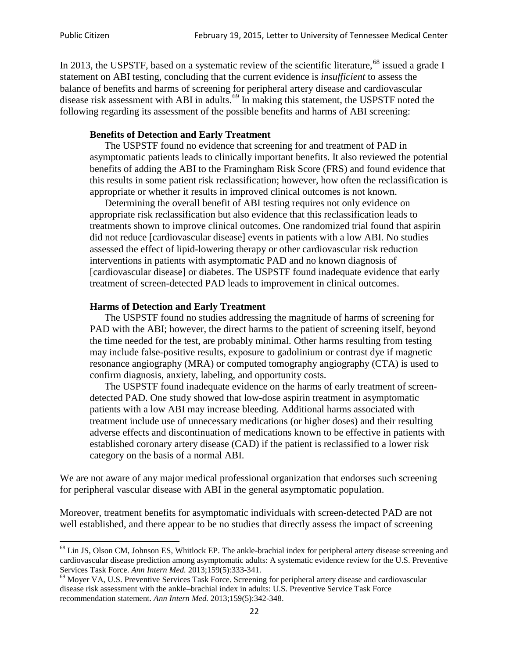In 2013, the USPSTF, based on a systematic review of the scientific literature,<sup>[68](#page-21-0)</sup> issued a grade I statement on ABI testing, concluding that the current evidence is *insufficient* to assess the balance of benefits and harms of screening for peripheral artery disease and cardiovascular disease risk assessment with ABI in adults.<sup>[69](#page-21-1)</sup> In making this statement, the USPSTF noted the following regarding its assessment of the possible benefits and harms of ABI screening:

#### **Benefits of Detection and Early Treatment**

The USPSTF found no evidence that screening for and treatment of PAD in asymptomatic patients leads to clinically important benefits. It also reviewed the potential benefits of adding the ABI to the Framingham Risk Score (FRS) and found evidence that this results in some patient risk reclassification; however, how often the reclassification is appropriate or whether it results in improved clinical outcomes is not known.

Determining the overall benefit of ABI testing requires not only evidence on appropriate risk reclassification but also evidence that this reclassification leads to treatments shown to improve clinical outcomes. One randomized trial found that aspirin did not reduce [cardiovascular disease] events in patients with a low ABI. No studies assessed the effect of lipid-lowering therapy or other cardiovascular risk reduction interventions in patients with asymptomatic PAD and no known diagnosis of [cardiovascular disease] or diabetes. The USPSTF found inadequate evidence that early treatment of screen-detected PAD leads to improvement in clinical outcomes.

#### **Harms of Detection and Early Treatment**

The USPSTF found no studies addressing the magnitude of harms of screening for PAD with the ABI; however, the direct harms to the patient of screening itself, beyond the time needed for the test, are probably minimal. Other harms resulting from testing may include false-positive results, exposure to gadolinium or contrast dye if magnetic resonance angiography (MRA) or computed tomography angiography (CTA) is used to confirm diagnosis, anxiety, labeling, and opportunity costs.

The USPSTF found inadequate evidence on the harms of early treatment of screendetected PAD. One study showed that low-dose aspirin treatment in asymptomatic patients with a low ABI may increase bleeding. Additional harms associated with treatment include use of unnecessary medications (or higher doses) and their resulting adverse effects and discontinuation of medications known to be effective in patients with established coronary artery disease (CAD) if the patient is reclassified to a lower risk category on the basis of a normal ABI.

We are not aware of any major medical professional organization that endorses such screening for peripheral vascular disease with ABI in the general asymptomatic population.

Moreover, treatment benefits for asymptomatic individuals with screen-detected PAD are not well established, and there appear to be no studies that directly assess the impact of screening

<span id="page-21-0"></span><sup>&</sup>lt;sup>68</sup> Lin JS, Olson CM, Johnson ES, Whitlock EP. The ankle-brachial index for peripheral artery disease screening and cardiovascular disease prediction among asymptomatic adults: A systematic evidence review for the U.S. Preventive Services Task Force. *Ann Intern Med.* 2013;159(5):333-341.<br><sup>69</sup> Moyer VA, U.S. Preventive Services Task Force. Screening for peripheral artery disease and cardiovascular

<span id="page-21-1"></span>disease risk assessment with the ankle–brachial index in adults: U.S. Preventive Service Task Force recommendation statement. *Ann Intern Med.* 2013;159(5):342-348.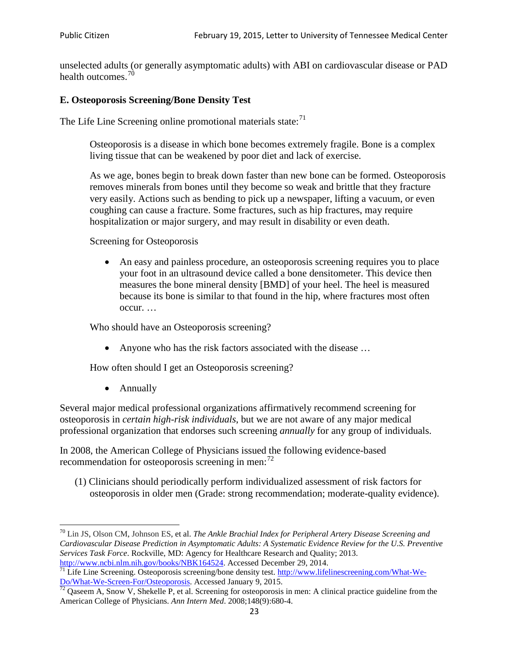unselected adults (or generally asymptomatic adults) with ABI on cardiovascular disease or PAD health outcomes.<sup>[70](#page-22-0)</sup>

### **E. Osteoporosis Screening/Bone Density Test**

The Life Line Screening online promotional materials state: $71$ 

Osteoporosis is a disease in which bone becomes extremely fragile. Bone is a complex living tissue that can be weakened by poor diet and lack of exercise.

As we age, bones begin to break down faster than new bone can be formed. Osteoporosis removes minerals from bones until they become so weak and brittle that they fracture very easily. Actions such as bending to pick up a newspaper, lifting a vacuum, or even coughing can cause a fracture. Some fractures, such as hip fractures, may require hospitalization or major surgery, and may result in disability or even death.

Screening for Osteoporosis

• An easy and painless procedure, an osteoporosis screening requires you to place your foot in an ultrasound device called a bone densitometer. This device then measures the bone mineral density [BMD] of your heel. The heel is measured because its bone is similar to that found in the hip, where fractures most often occur. …

Who should have an Osteoporosis screening?

• Anyone who has the risk factors associated with the disease ...

How often should I get an Osteoporosis screening?

• Annually

Several major medical professional organizations affirmatively recommend screening for osteoporosis in *certain high-risk individuals*, but we are not aware of any major medical professional organization that endorses such screening *annually* for any group of individuals.

In 2008, the American College of Physicians issued the following evidence-based recommendation for osteoporosis screening in men: $^{72}$  $^{72}$  $^{72}$ 

(1) Clinicians should periodically perform individualized assessment of risk factors for osteoporosis in older men (Grade: strong recommendation; moderate-quality evidence).

<span id="page-22-0"></span><sup>70</sup> [Lin JS,](http://www.ncbi.nlm.nih.gov/pubmed?term=Lin%20JS%5BAuthor%5D&cauthor=true&cauthor_uid=24156115) [Olson CM,](http://www.ncbi.nlm.nih.gov/pubmed?term=Olson%20CM%5BAuthor%5D&cauthor=true&cauthor_uid=24156115) [Johnson ES,](http://www.ncbi.nlm.nih.gov/pubmed?term=Johnson%20ES%5BAuthor%5D&cauthor=true&cauthor_uid=24156115) et al. *The Ankle Brachial Index for Peripheral Artery Disease Screening and Cardiovascular Disease Prediction in Asymptomatic Adults: A Systematic Evidence Review for the U.S. Preventive Services Task Force*. Rockville, MD: Agency for Healthcare Research and Quality; 2013.<br>http://www.ncbi.nlm.nih.gov/books/NBK164524. Accessed December 29, 2014.

<span id="page-22-1"></span> $\frac{1}{71}$  Life Line Screening. Osteoporosis screening/bone density test. [http://www.lifelinescreening.com/What-We-](http://www.lifelinescreening.com/What-We-Do/What-We-Screen-For/Osteoporosis)[Do/What-We-Screen-For/Osteoporosis.](http://www.lifelinescreening.com/What-We-Do/What-We-Screen-For/Osteoporosis) Accessed January 9, 2015. <sup>72</sup> Qaseem A, Snow V, Shekelle P, et al. Screening for osteoporosis in men: A clinical practice guideline from the

<span id="page-22-2"></span>American College of Physicians. *Ann Intern Med*. 2008;148(9):680-4.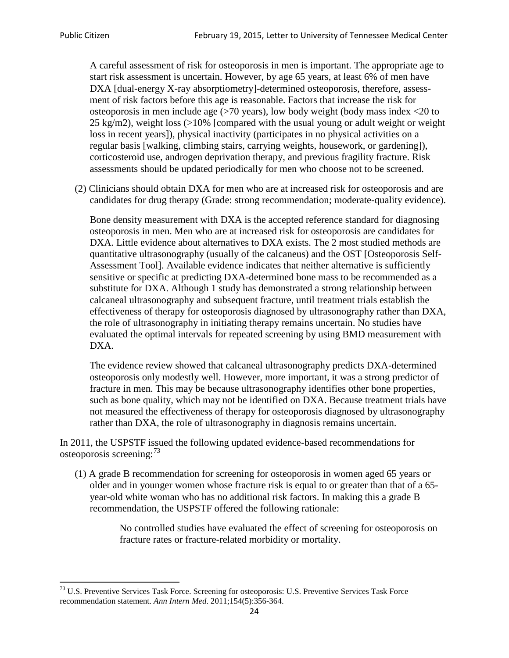A careful assessment of risk for osteoporosis in men is important. The appropriate age to start risk assessment is uncertain. However, by age 65 years, at least 6% of men have DXA [dual-energy X-ray absorptiometry]-determined osteoporosis, therefore, assessment of risk factors before this age is reasonable. Factors that increase the risk for osteoporosis in men include age (>70 years), low body weight (body mass index <20 to 25 kg/m2), weight loss  $\langle$  >10% [compared with the usual young or adult weight or weight loss in recent years]), physical inactivity (participates in no physical activities on a regular basis [walking, climbing stairs, carrying weights, housework, or gardening]), corticosteroid use, androgen deprivation therapy, and previous fragility fracture. Risk assessments should be updated periodically for men who choose not to be screened.

(2) Clinicians should obtain DXA for men who are at increased risk for osteoporosis and are candidates for drug therapy (Grade: strong recommendation; moderate-quality evidence).

Bone density measurement with DXA is the accepted reference standard for diagnosing osteoporosis in men. Men who are at increased risk for osteoporosis are candidates for DXA. Little evidence about alternatives to DXA exists. The 2 most studied methods are quantitative ultrasonography (usually of the calcaneus) and the OST [Osteoporosis Self-Assessment Tool]. Available evidence indicates that neither alternative is sufficiently sensitive or specific at predicting DXA-determined bone mass to be recommended as a substitute for DXA. Although 1 study has demonstrated a strong relationship between calcaneal ultrasonography and subsequent fracture, until treatment trials establish the effectiveness of therapy for osteoporosis diagnosed by ultrasonography rather than DXA, the role of ultrasonography in initiating therapy remains uncertain. No studies have evaluated the optimal intervals for repeated screening by using BMD measurement with DXA.

The evidence review showed that calcaneal ultrasonography predicts DXA-determined osteoporosis only modestly well. However, more important, it was a strong predictor of fracture in men. This may be because ultrasonography identifies other bone properties, such as bone quality, which may not be identified on DXA. Because treatment trials have not measured the effectiveness of therapy for osteoporosis diagnosed by ultrasonography rather than DXA, the role of ultrasonography in diagnosis remains uncertain.

In 2011, the USPSTF issued the following updated evidence-based recommendations for osteoporosis screening:<sup>[73](#page-23-0)</sup>

(1) A grade B recommendation for screening for osteoporosis in women aged 65 years or older and in younger women whose fracture risk is equal to or greater than that of a 65 year-old white woman who has no additional risk factors. In making this a grade B recommendation, the USPSTF offered the following rationale:

> No controlled studies have evaluated the effect of screening for osteoporosis on fracture rates or fracture-related morbidity or mortality.

<span id="page-23-0"></span><sup>&</sup>lt;sup>73</sup> U.S. Preventive Services Task Force. Screening for osteoporosis: U.S. Preventive Services Task Force recommendation statement. *Ann Intern Med*. 2011;154(5):356-364.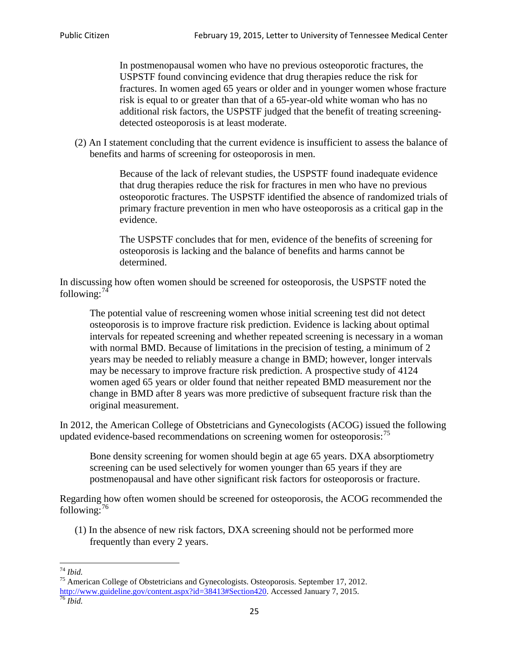In postmenopausal women who have no previous osteoporotic fractures, the USPSTF found convincing evidence that drug therapies reduce the risk for fractures. In women aged 65 years or older and in younger women whose fracture risk is equal to or greater than that of a 65-year-old white woman who has no additional risk factors, the USPSTF judged that the benefit of treating screeningdetected osteoporosis is at least moderate.

(2) An I statement concluding that the current evidence is insufficient to assess the balance of benefits and harms of screening for osteoporosis in men.

> Because of the lack of relevant studies, the USPSTF found inadequate evidence that drug therapies reduce the risk for fractures in men who have no previous osteoporotic fractures. The USPSTF identified the absence of randomized trials of primary fracture prevention in men who have osteoporosis as a critical gap in the evidence.

The USPSTF concludes that for men, evidence of the benefits of screening for osteoporosis is lacking and the balance of benefits and harms cannot be determined.

In discussing how often women should be screened for osteoporosis, the USPSTF noted the following: $74$ 

The potential value of rescreening women whose initial screening test did not detect osteoporosis is to improve fracture risk prediction. Evidence is lacking about optimal intervals for repeated screening and whether repeated screening is necessary in a woman with normal BMD. Because of limitations in the precision of testing, a minimum of 2 years may be needed to reliably measure a change in BMD; however, longer intervals may be necessary to improve fracture risk prediction. A prospective study of 4124 women aged 65 years or older found that neither repeated BMD measurement nor the change in BMD after 8 years was more predictive of subsequent fracture risk than the original measurement.

In 2012, the American College of Obstetricians and Gynecologists (ACOG) issued the following updated evidence-based recommendations on screening women for osteoporosis:<sup>[75](#page-24-1)</sup>

Bone density screening for women should begin at age 65 years. DXA absorptiometry screening can be used selectively for women younger than 65 years if they are postmenopausal and have other significant risk factors for osteoporosis or fracture.

Regarding how often women should be screened for osteoporosis, the ACOG recommended the following: $^{76}$  $^{76}$  $^{76}$ 

(1) In the absence of new risk factors, DXA screening should not be performed more frequently than every 2 years.

<span id="page-24-2"></span><span id="page-24-1"></span><span id="page-24-0"></span><sup>74</sup> *Ibid.* <sup>75</sup> American College of Obstetricians and Gynecologists. Osteoporosis. September 17, 2012. [http://www.guideline.gov/content.aspx?id=38413#Section420.](http://www.guideline.gov/content.aspx?id=38413#Section420) Accessed January 7, 2015.<br><sup>76</sup> *Ibid.*